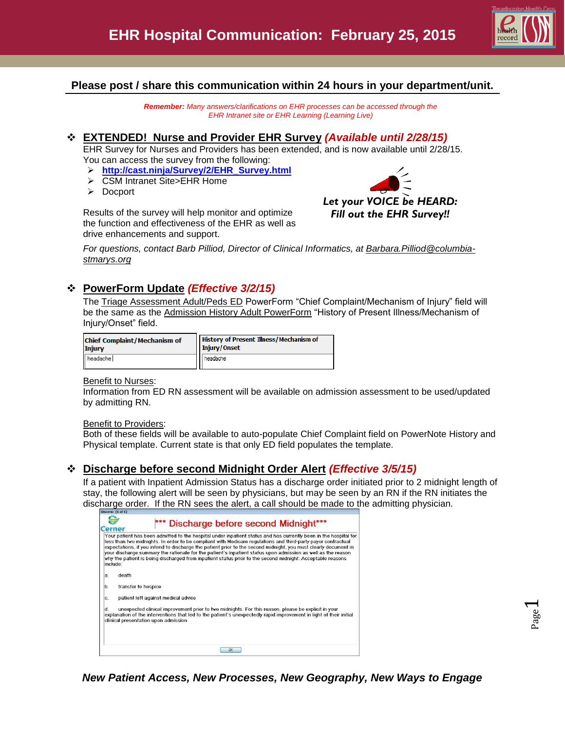

## **Please post / share this communication within 24 hours in your department/unit.**

*Remember: Many answers/clarifications on EHR processes can be accessed through the EHR Intranet site or EHR Learning (Learning Live)*

### **EXTENDED! Nurse and Provider EHR Survey** *(Available until 2/28/15)*

EHR Survey for Nurses and Providers has been extended, and is now available until 2/28/15. You can access the survey from the following:

- **[http://cast.ninja/Survey/2/EHR\\_Survey.html](http://cast.ninja/Survey/2/EHR_Survey.html)**
- CSM Intranet Site>EHR Home
- > Docport

Results of the survey will help monitor and optimize the function and effectiveness of the EHR as well as drive enhancements and support.



*For questions, contact Barb Pilliod, Director of Clinical Informatics, at [Barbara.Pilliod@columbia](mailto:Barbara.Pilliod@columbia-stmarys.org)[stmarys.org](mailto:Barbara.Pilliod@columbia-stmarys.org)*

## **PowerForm Update** *(Effective 3/2/15)*

The Triage Assessment Adult/Peds ED PowerForm "Chief Complaint/Mechanism of Injury" field will be the same as the Admission History Adult PowerForm "History of Present Illness/Mechanism of Injury/Onset" field.

| <b>Chief Complaint/Mechanism of</b> | <b>History of Present Illness/Mechanism of</b> |  |
|-------------------------------------|------------------------------------------------|--|
| <b>Injury</b>                       | Injury/Onset                                   |  |
| headache                            | headache                                       |  |

### Benefit to Nurses:

Information from ED RN assessment will be available on admission assessment to be used/updated by admitting RN.

### Benefit to Providers:

Both of these fields will be available to auto-populate Chief Complaint field on PowerNote History and Physical template. Current state is that only ED field populates the template.

## **Discharge before second Midnight Order Alert** *(Effective 3/5/15)*

If a patient with Inpatient Admission Status has a discharge order initiated prior to 2 midnight length of stay, the following alert will be seen by physicians, but may be seen by an RN if the RN initiates the discharge order. If the RN sees the alert, a call should be made to the admitting physician.

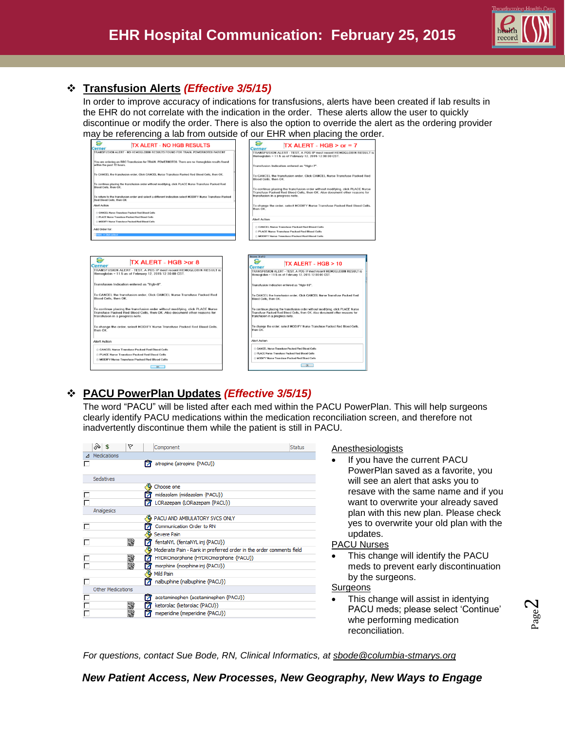

# **Transfusion Alerts** *(Effective 3/5/15)*

In order to improve accuracy of indications for transfusions, alerts have been created if lab results in the EHR do not correlate with the indication in the order. These alerts allow the user to quickly discontinue or modify the order. There is also the option to override the alert as the ordering provider may be referencing a lab from outside of our EHR when placing the order.

|                                                                                                                                                                                                 | may be referencing a lab from outside of our EHR when placing the ord                                                                                                                           |
|-------------------------------------------------------------------------------------------------------------------------------------------------------------------------------------------------|-------------------------------------------------------------------------------------------------------------------------------------------------------------------------------------------------|
| <b>TX ALERT - NO HGB RESULTS</b><br>Cerner                                                                                                                                                      | $TX$ ALERT - HGB > or = 7<br>Cerner                                                                                                                                                             |
| TRANSFUSION ALERT - NO HEMOGLOBIN RESULTS FOUND FOR TRAIN. POWERNOTE6 PATIENT                                                                                                                   | TRANSFUSION ALERT - TEST, A POS IP most recent HEMOGLOBIN RESULT is<br>Hemoglobin = 11.5 as of February 12, 2015 12:30:00 CST.                                                                  |
| You are ordering an RBC Transfusion for TRAIN. POWERNOTE6. There are no Hemoglobin results found<br>within the past 72 hours.                                                                   | Transfusion Indication entered as "Hgb<7".                                                                                                                                                      |
| To CANCEL the transfusion order. Click CANCEL Nurse Transfuse Packed Red Blood Cells. then OK.                                                                                                  | To CANCEL the transfusion order. Click CANCEL Nurse Transfuse Packed Red<br>Blood Cells, then OK.                                                                                               |
| To continue placing the transfusion order without modifying, click PLACE Nurse Transfuse Packed Red<br>Blood Cells, then OK                                                                     | To continue placing the transfusion order without modifying, click PLACE Nurse                                                                                                                  |
| To return to the transfusion order and select a different indication select MODIFY Nurse Transfuse Packed<br>Red Blood Cells, then OK                                                           | Transfuse Packed Red Blood Cells, then OK. Also document other reasons for<br>transfusion in a progress note.                                                                                   |
| <b>Alert Action</b>                                                                                                                                                                             | To change the order, select MODIFY Nurse Transfuse Packed Red Blood Cells,<br>then OK                                                                                                           |
| CANCEL Nurse Transfuse Packed Red Blood Cells<br>C PLACE Nurse Transfuse Packed Red Blood Cells                                                                                                 | <b>Alert Action</b>                                                                                                                                                                             |
| C MODIFY Nurse Transfuse Packed Red Blood Cells                                                                                                                                                 |                                                                                                                                                                                                 |
| Add Order for:                                                                                                                                                                                  | CANCEL Nurse Transfuse Packed Red Blood Cells                                                                                                                                                   |
| <b>BERTH IN STAR collect</b>                                                                                                                                                                    | <b>PLACE Nurse Transfuse Packed Red Blood Cells</b>                                                                                                                                             |
|                                                                                                                                                                                                 | <b>NODIFY Nurse Transfuse Packed Red Blood Cells</b>                                                                                                                                            |
| TX ALERT - HGB >or 8<br>Cerner<br>TRANSFUSION ALERT - TEST, A POS IP most recent HEMOGLOBIN RESULT is<br>Hemoglobin = 11.5 as of February 12, 2015 12:30:00 CST.                                | s<br>TX ALERT - HGB > 10<br>Cerner<br>TRANSFUSION ALERT - TEST. A POS IP most recent HEMOGLOBIN RESULT is<br>Hemoglobin = 11.5 as of February 12, 2015 12:30:00 CST.                            |
| Transfusion Indication entered as "Hqb<8".                                                                                                                                                      | Transfusion Indication entered as "Hgb<10".                                                                                                                                                     |
| To CANCEL the transfusion order. Click CANCEL Nurse Transfuse Packed Red<br>Blood Cells, then OK.                                                                                               | To CANCEL the transfusion order, Click CANCEL Nurse Transfuse Packed Red<br>Blood Cells, then OK.                                                                                               |
| To continue placing the transfusion order without modifying, click PLACE Nurse<br>Transfuse Packed Red Blood Cells, then OK. Also document other reasons for<br>transfusion in a progress note. | To continue placing the transfusion order without modifying, click PLACE Nurse<br>Transfuse Packed Red Blood Cells, then OK. Also document other reasons for<br>transfusion in a progress note. |
| To change the order, select MODIFY Nurse Transfuse Packed Red Blood Cells,<br>then OK.                                                                                                          | To change the order, select MODIFY Nurse Transfuse Packed Red Blood Cells,<br>then OK.                                                                                                          |
|                                                                                                                                                                                                 |                                                                                                                                                                                                 |
| <b>Alert Action</b>                                                                                                                                                                             | <b>Alert Action</b>                                                                                                                                                                             |
| CANCEL Nurse Transfuse Packed Red Blood Cells                                                                                                                                                   | CANCEL Nurse Transfuse Packed Red Blood Cells                                                                                                                                                   |
| © PLACE Nurse Transfuse Packed Red Blood Cells                                                                                                                                                  | C PLACE Nurse Transfuse Packed Red Blood Cells                                                                                                                                                  |
| C MODIFY Nurse Transfuse Packed Red Blood Cells                                                                                                                                                 | C MODIFY Nurse Transfuse Packed Red Blood Cells                                                                                                                                                 |

# **PACU PowerPlan Updates** *(Effective 3/5/15)*

The word "PACU" will be listed after each med within the PACU PowerPlan. This will help surgeons clearly identify PACU medications within the medication reconciliation screen, and therefore not inadvertently discontinue them while the patient is still in PACU.

| ℅ | 索                 | v  | Component                                                           | <b>Status</b> |
|---|-------------------|----|---------------------------------------------------------------------|---------------|
|   | Medications       |    |                                                                     |               |
|   |                   |    | atropine (atropine {PACU})                                          |               |
|   |                   |    |                                                                     |               |
|   | Sedatives         |    |                                                                     |               |
|   |                   |    | Choose one                                                          |               |
|   |                   |    | midazolam (midazolam {PACU})                                        |               |
|   |                   |    | LORazepam (LORazepam {PACU})                                        |               |
|   | Analgesics        |    |                                                                     |               |
|   |                   |    | PACU AND AMBULATORY SVCS ONLY                                       |               |
|   |                   |    | Communication Order to RN                                           |               |
|   |                   |    | <b>Severe Pain</b>                                                  |               |
|   |                   | 霧  | fentaNYL (fentaNYL inj {PACU})                                      |               |
|   |                   |    | Moderate Pain - Rank in preferred order in the order comments field |               |
|   |                   | 彩翠 | HYDROmorphone (HYDROmorphone {PACU})                                |               |
|   |                   |    | morphine (morphine inj {PACU})                                      |               |
|   |                   |    | Mild Pain                                                           |               |
|   |                   |    | nalbuphine (nalbuphine {PACU})                                      |               |
|   | Other Medications |    |                                                                     |               |
|   |                   |    | acetaminophen (acetaminophen {PACU})                                |               |
|   |                   | 翾  | ketorolac (ketorolac {PACU})                                        |               |
|   |                   |    | meperidine (meperidine {PACU})                                      |               |
|   |                   |    |                                                                     |               |

### Anesthesiologists

 If you have the current PACU PowerPlan saved as a favorite, you will see an alert that asks you to resave with the same name and if you want to overwrite your already saved plan with this new plan. Please check yes to overwrite your old plan with the updates.

### PACU Nurses

 This change will identify the PACU meds to prevent early discontinuation by the surgeons.

## **Surgeons**

 This change will assist in identying PACU meds; please select 'Continue' whe performing medication reconciliation.

*For questions, contact Sue Bode, RN, Clinical Informatics, at sbode@columbia-stmarys.org*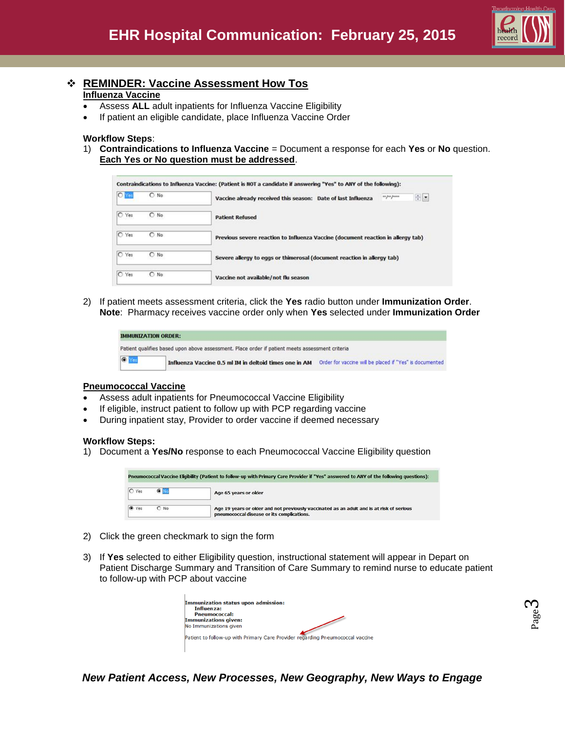

## **REMINDER: Vaccine Assessment How Tos Influenza Vaccine**

- Assess **ALL** adult inpatients for Influenza Vaccine Eligibility
- If patient an eligible candidate, place Influenza Vaccine Order

#### **Workflow Steps**:

1) **Contraindications to Influenza Vaccine** = Document a response for each **Yes** or **No** question. **Each Yes or No question must be addressed**.

| <b>O</b> <sub>Y</sub> e<br>$O$ No | 日日<br>sa pa pasa<br>Vaccine already received this season: Date of last Influenza |
|-----------------------------------|----------------------------------------------------------------------------------|
| O Yes<br>$O$ No.                  | <b>Patient Refused</b>                                                           |
| O Yes<br>ONo                      | Previous severe reaction to Influenza Vaccine (document reaction in allergy tab) |
| C Yes<br>$O$ No                   | Severe allergy to eggs or thimerosal (document reaction in allergy tab)          |
| O Yes<br>$O$ No.                  | Vaccine not available/not flu season                                             |

2) If patient meets assessment criteria, click the **Yes** radio button under **Immunization Order**. **Note**: Pharmacy receives vaccine order only when **Yes** selected under **Immunization Order**

|            | <b>IMMUNIZATION ORDER:</b>                                                                      |                                                         |
|------------|-------------------------------------------------------------------------------------------------|---------------------------------------------------------|
|            | Patient qualifies based upon above assessment. Place order if patient meets assessment criteria |                                                         |
| $\sqrt{2}$ | Influenza Vaccine 0.5 ml IM in deltoid times one in AM                                          | Order for vaccine will be placed if "Yes" is documented |

#### **Pneumococcal Vaccine**

- Assess adult inpatients for Pneumococcal Vaccine Eligibility
- If eligible, instruct patient to follow up with PCP regarding vaccine
- During inpatient stay, Provider to order vaccine if deemed necessary

#### **Workflow Steps:**

1) Document a **Yes/No** response to each Pneumococcal Vaccine Eligibility question

|       | Pneumococcal Vaccine Eligibility (Patient to follow-up with Primary Care Provider if "Yes" answered to ANY of the following questions): |                                                                                                                                         |  |  |  |  |  |
|-------|-----------------------------------------------------------------------------------------------------------------------------------------|-----------------------------------------------------------------------------------------------------------------------------------------|--|--|--|--|--|
| C Yes | $\bullet$ No                                                                                                                            | Age 65 years or older                                                                                                                   |  |  |  |  |  |
| C Yes | $O$ No                                                                                                                                  | Age 19 years or older and not previously vaccinated as an adult and is at risk of serious<br>pneumococcal disease or its complications. |  |  |  |  |  |

- 2) Click the green checkmark to sign the form
- 3) If **Yes** selected to either Eligibility question, instructional statement will appear in Depart on Patient Discharge Summary and Transition of Care Summary to remind nurse to educate patient to follow-up with PCP about vaccine

| Immunization status upon admission:<br><b>Influenza:</b> |                                                                                |
|----------------------------------------------------------|--------------------------------------------------------------------------------|
| <b>Pneumococcal:</b>                                     |                                                                                |
| Immunizations given:                                     |                                                                                |
| No Immunizations given                                   |                                                                                |
|                                                          | Patient to follow-up with Primary Care Provider regarding Pneumococcal vaccine |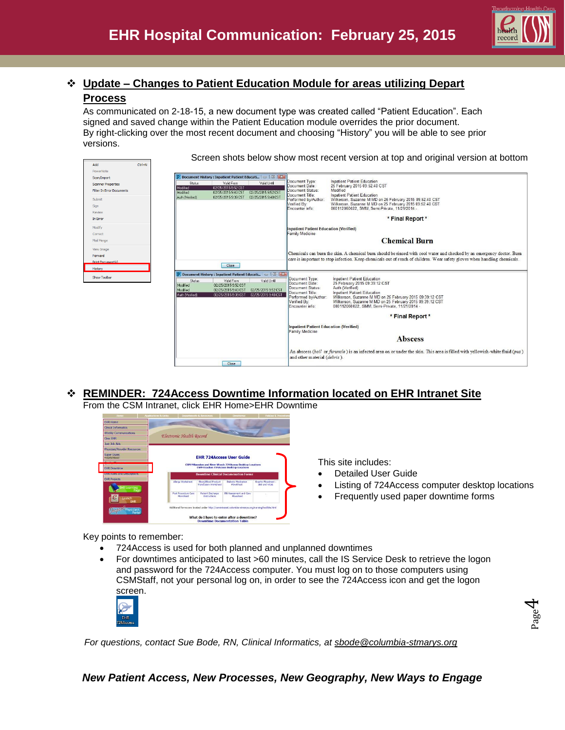

Page  $\overline{\mathcal{A}}$ 

# **Update – Changes to Patient Education Module for areas utilizing Depart Process**

As communicated on 2-18-15, a new document type was created called "Patient Education". Each signed and saved change within the Patient Education module overrides the prior document. By right-clicking over the most recent document and choosing "History" you will be able to see prior versions.

Screen shots below show most recent version at top and original version at bottom

| PowerNote<br>Scan/Import         |                             | P Document History : Inpatient Patient Educati   D   X     |                                            |                                                          |                                                                                                                              |  |
|----------------------------------|-----------------------------|------------------------------------------------------------|--------------------------------------------|----------------------------------------------------------|------------------------------------------------------------------------------------------------------------------------------|--|
| <b>Scanner Properties</b>        | <b>Status</b>               | Valid From                                                 | Valid Until                                | Document Type:<br>Document Date:                         | <b>Inpatient Patient Education</b><br>25 February 2015 09:52:40 CST                                                          |  |
| <b>Filter In Error Documents</b> | Modified<br>Modified        | 02/25/2015 9:52 CST<br>02/25/2015 9:40 CST                 | 02/25/2015 9:52 CST                        | Document Status:                                         | Modified                                                                                                                     |  |
| Submit                           | Auth Neified!               | 02/25/2015 9:39 CST  02/25/2015 9:40 CST                   |                                            | Document Title:                                          | Inpatient Patient Education                                                                                                  |  |
| Sign                             |                             |                                                            |                                            | Performed by/Author:<br>Verified By:                     | Wilkerson, Suzanne M MD on 25 February 2015 09:52:40 CST<br>Wilkerson, Suzanne M MD on 25 February 2015 09:52:40 CST         |  |
| <b>Review</b>                    |                             |                                                            |                                            | Encounter info:                                          | 000112060022. SMM. Semi-Private. 11/21/2014 -                                                                                |  |
| In Error                         |                             |                                                            |                                            |                                                          | * Final Report *                                                                                                             |  |
| Modify                           |                             |                                                            |                                            |                                                          |                                                                                                                              |  |
| Correct                          |                             |                                                            |                                            | Inpatient Patient Education (Verified)<br>amily Medicine |                                                                                                                              |  |
| Mail Merge                       |                             |                                                            |                                            |                                                          | <b>Chemical Burn</b>                                                                                                         |  |
|                                  |                             |                                                            |                                            |                                                          |                                                                                                                              |  |
| View Image                       |                             |                                                            |                                            |                                                          | Chemicals can burn the skin. A chemical burn should be rinsed with cool water and checked by an emergency doctor. Burn       |  |
| Forward                          |                             |                                                            |                                            |                                                          | care is important to stop infection. Keep chemicals out of reach of children. Wear safety gloves when handling chemicals.    |  |
| Print Document(s).               |                             | Close                                                      |                                            |                                                          |                                                                                                                              |  |
| History                          |                             | P Document History : Inpatient Patient Educati   O   B   X |                                            |                                                          |                                                                                                                              |  |
| Show Toolbar                     | <b>Status</b>               | Valid From                                                 | Valid Until                                | Document Type:                                           | <b>Inpatient Patient Education</b>                                                                                           |  |
|                                  | Modified                    | 02/25/2015 9:52 CST                                        |                                            | Document Date:<br>Document Status:                       | 25 February 2015 09:39:12 CST<br>Auth (Verified)                                                                             |  |
|                                  | Modified<br>Auth (Verified) | 02/25/2015 9:40 CST<br>02/25/2015 9:39 CST                 | 02/25/2015 9:52 CST<br>02/25/2015 9:40 CST | Document Title:                                          | Inpatient Patient Education                                                                                                  |  |
|                                  |                             |                                                            |                                            | Performed by/Author:                                     | Wilkerson, Suzanne M MD on 25 February 2015 09:39:12 CST                                                                     |  |
|                                  |                             |                                                            |                                            | Verified By:<br>Encounter info:                          | Wilkerson, Suzanne M MD on 25 February 2015 09:39:12 CST<br>000112060022, SMM, Semi-Private, 11/21/2014 -                    |  |
|                                  |                             |                                                            |                                            |                                                          |                                                                                                                              |  |
|                                  |                             |                                                            |                                            |                                                          | * Final Report *                                                                                                             |  |
|                                  |                             |                                                            |                                            | <b>Inpatient Patient Education (Verified)</b>            |                                                                                                                              |  |
|                                  |                             |                                                            |                                            | Family Medicine                                          |                                                                                                                              |  |
|                                  |                             |                                                            |                                            |                                                          | <b>Abscess</b>                                                                                                               |  |
|                                  |                             |                                                            |                                            | and other material (debris).                             | An abscess (boil or furuncle) is an infected area on or under the skin. This area is filled with yellowish-white fluid (pus) |  |

# **REMINDER: 724Access Downtime Information located on EHR Intranet Site**

From the CSM Intranet, click EHR Home>EHR Downtime



This site includes:

- Detailed User Guide
- Listing of 724Access computer desktop locations
- Frequently used paper downtime forms

Key points to remember:

- 724Access is used for both planned and unplanned downtimes
- For downtimes anticipated to last >60 minutes, call the IS Service Desk to retrieve the logon and password for the 724Access computer. You must log on to those computers using CSMStaff, not your personal log on, in order to see the 724Access icon and get the logon screen.



*For questions, contact Sue Bode, RN, Clinical Informatics, at [sbode@columbia-stmarys.org](mailto:sbode@columbia-stmarys.org)*